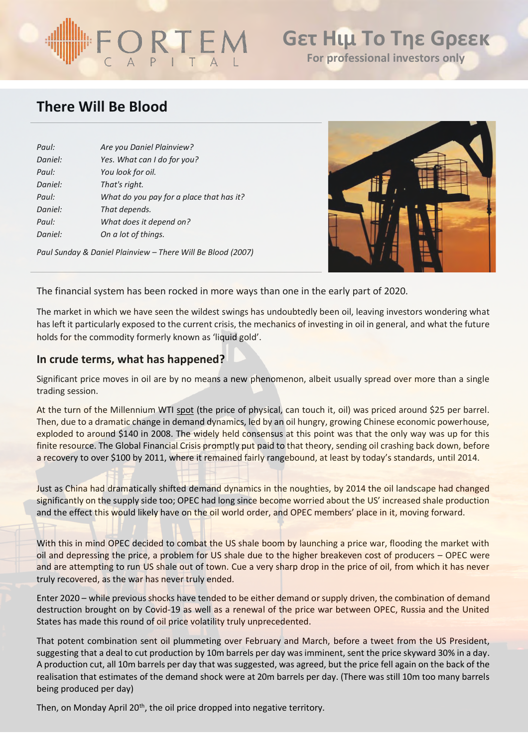# ORTE

## **Gετ Ηιμ Το Τηε Gρεεκ For professional investors only**

## **There Will Be Blood**

| Paul:   | Are you Daniel Plainview?                |
|---------|------------------------------------------|
| Daniel: | Yes. What can I do for you?              |
| Paul:   | You look for oil.                        |
| Daniel: | That's right.                            |
| Paul:   | What do you pay for a place that has it? |
| Daniel: | That depends.                            |
| Paul:   | What does it depend on?                  |
| Daniel: | On a lot of things.                      |
|         |                                          |

*Paul Sunday & Daniel Plainview – There Will Be Blood (2007)*



The financial system has been rocked in more ways than one in the early part of 2020.

The market in which we have seen the wildest swings has undoubtedly been oil, leaving investors wondering what has left it particularly exposed to the current crisis, the mechanics of investing in oil in general, and what the future holds for the commodity formerly known as 'liquid gold'.

### **In crude terms, what has happened?**

Significant price moves in oil are by no means a new phenomenon, albeit usually spread over more than a single trading session.

At the turn of the Millennium WTI spot (the price of physical, can touch it, oil) was priced around \$25 per barrel. Then, due to a dramatic change in demand dynamics, led by an oil hungry, growing Chinese economic powerhouse, exploded to around \$140 in 2008. The widely held consensus at this point was that the only way was up for this finite resource. The Global Financial Crisis promptly put paid to that theory, sending oil crashing back down, before a recovery to over \$100 by 2011, where it remained fairly rangebound, at least by today's standards, until 2014.

Just as China had dramatically shifted demand dynamics in the noughties, by 2014 the oil landscape had changed significantly on the supply side too; OPEC had long since become worried about the US' increased shale production and the effect this would likely have on the oil world order, and OPEC members' place in it, moving forward.

With this in mind OPEC decided to combat the US shale boom by launching a price war, flooding the market with oil and depressing the price, a problem for US shale due to the higher breakeven cost of producers – OPEC were and are attempting to run US shale out of town. Cue a very sharp drop in the price of oil, from which it has never truly recovered, as the war has never truly ended.

Enter 2020 – while previous shocks have tended to be either demand or supply driven, the combination of demand destruction brought on by Covid-19 as well as a renewal of the price war between OPEC, Russia and the United States has made this round of oil price volatility truly unprecedented.

That potent combination sent oil plummeting over February and March, before a tweet from the US President, suggesting that a deal to cut production by 10m barrels per day was imminent, sent the price skyward 30% in a day. A production cut, all 10m barrels per day that was suggested, was agreed, but the price fell again on the back of the realisation that estimates of the demand shock were at 20m barrels per day. (There was still 10m too many barrels being produced per day)

Then, on Monday April 20<sup>th</sup>, the oil price dropped into negative territory.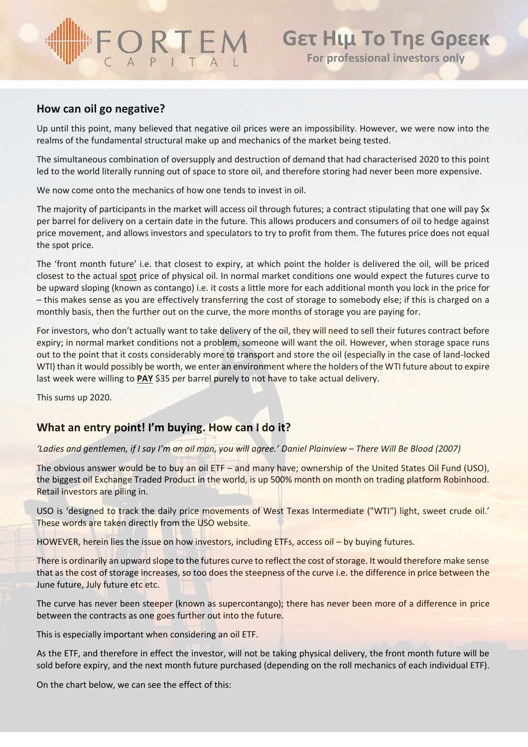## ORTEM

## **How can oil go negative?**

Up until this point, many believed that negative oil prices were an impossibility. However, we were now into the realms of the fundamental structural make up and mechanics of the market being tested.

The simultaneous combination of oversupply and destruction of demand that had characterised 2020 to this point led to the world literally running out of space to store oil, and therefore storing had never been more expensive.

We now come onto the mechanics of how one tends to invest in oil.

The majority of participants in the market will access oil through futures; a contract stipulating that one will pay \$x per barrel for delivery on a certain date in the future. This allows producers and consumers of oil to hedge against price movement, and allows investors and speculators to try to profit from them. The futures price does not equal the spot price.

The 'front month future' i.e. that closest to expiry, at which point the holder is delivered the oil, will be priced closest to the actual spot price of physical oil. In normal market conditions one would expect the futures curve to be upward sloping (known as contango) i.e. it costs a little more for each additional month you lock in the price for – this makes sense as you are effectively transferring the cost of storage to somebody else; if this is charged on a monthly basis, then the further out on the curve, the more months of storage you are paying for.

For investors, who don't actually want to take delivery of the oil, they will need to sell their futures contract before expiry; in normal market conditions not a problem, someone will want the oil. However, when storage space runs out to the point that it costs considerably more to transport and store the oil (especially in the case of land-locked WTI) than it would possibly be worth, we enter an environment where the holders of the WTI future about to expire last week were willing to **PAY** \$35 per barrel purely to not have to take actual delivery.

This sums up 2020.

## **What an entry point! I'm buying. How can I do it?**

*'Ladies and gentlemen, if I say I'm an oil man, you will agree.' Daniel Plainview – There Will Be Blood (2007)*

The obvious answer would be to buy an oil ETF – and many have; ownership of the United States Oil Fund (USO), the biggest oil Exchange Traded Product in the world, is up 500% month on month on trading platform Robinhood. Retail investors are piling in.

USO is 'designed to track the daily price movements of West Texas Intermediate ("WTI") light, sweet crude oil.' These words are taken directly from the USO website.

HOWEVER, herein lies the issue on how investors, including ETFs, access oil – by buying futures.

There is ordinarily an upward slope to the futures curve to reflect the cost of storage. It would therefore make sense that as the cost of storage increases, so too does the steepness of the curve i.e. the difference in price between the June future, July future etc etc.

The curve has never been steeper (known as supercontango); there has never been more of a difference in price between the contracts as one goes further out into the future.

This is especially important when considering an oil ETF.

As the ETF, and therefore in effect the investor, will not be taking physical delivery, the front month future will be sold before expiry, and the next month future purchased (depending on the roll mechanics of each individual ETF).

On the chart below, we can see the effect of this: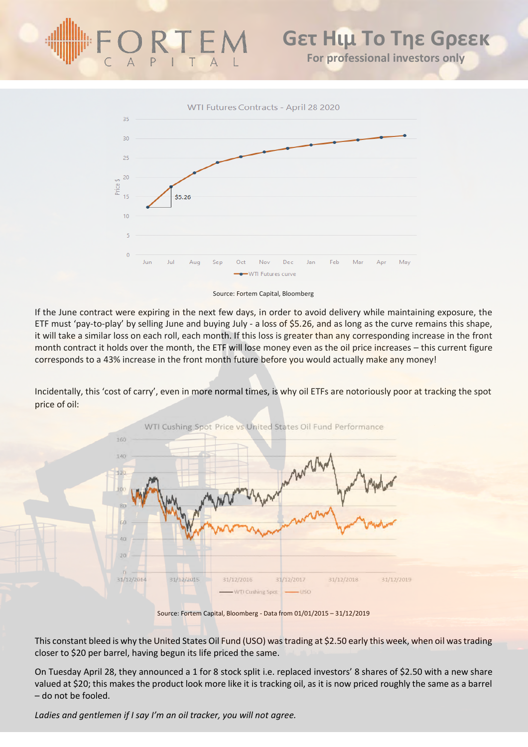## **Gετ Ηιμ Το Τηε Gρεεκ For professional investors only**



Source: Fortem Capital, Bloomberg

If the June contract were expiring in the next few days, in order to avoid delivery while maintaining exposure, the ETF must 'pay-to-play' by selling June and buying July - a loss of \$5.26, and as long as the curve remains this shape, it will take a similar loss on each roll, each month. If this loss is greater than any corresponding increase in the front month contract it holds over the month, the ETF will lose money even as the oil price increases – this current figure corresponds to a 43% increase in the front month future before you would actually make any money!

Incidentally, this 'cost of carry', even in more normal times, is why oil ETFs are notoriously poor at tracking the spot price of oil:



Source: Fortem Capital, Bloomberg - Data from 01/01/2015 – 31/12/2019

This constant bleed is why the United States Oil Fund (USO) was trading at \$2.50 early this week, when oil was trading closer to \$20 per barrel, having begun its life priced the same.

On Tuesday April 28, they announced a 1 for 8 stock split i.e. replaced investors' 8 shares of \$2.50 with a new share valued at \$20; this makes the product look more like it is tracking oil, as it is now priced roughly the same as a barrel – do not be fooled.

*Ladies and gentlemen if I say I'm an oil tracker, you will not agree.*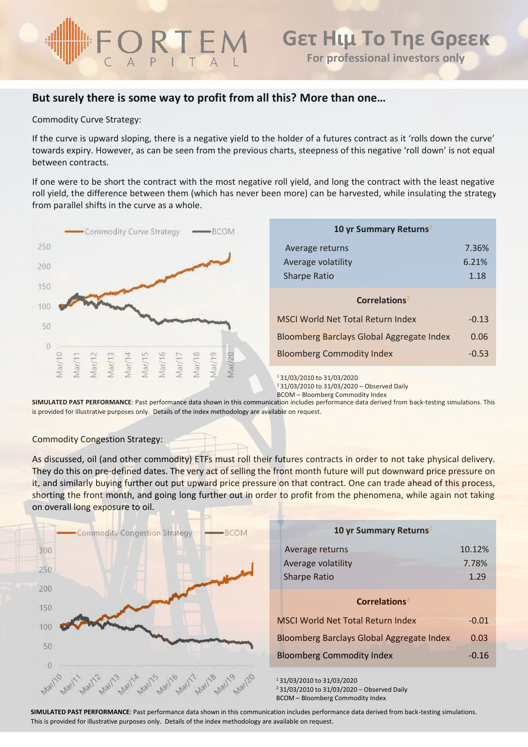## **But surely there is some way to profit from all this? More than one…**

Commodity Curve Strategy:

If the curve is upward sloping, there is a negative yield to the holder of a futures contract as it 'rolls down the curve' towards expiry. However, as can be seen from the previous charts, steepness of this negative 'roll down' is not equal between contracts.

If one were to be short the contract with the most negative roll yield, and long the contract with the least negative roll yield, the difference between them (which has never been more) can be harvested, while insulating the strategy from parallel shifts in the curve as a whole.



BCOM – Bloomberg Commodity Index

**SIMULATED PAST PERFORMANCE**: Past performance data shown in this communication includes performance data derived from back-testing simulations. This is provided for illustrative purposes only. Details of the index methodology are available on request.

### Commodity Congestion Strategy:

As discussed, oil (and other commodity) ETFs must roll their futures contracts in order to not take physical delivery. They do this on pre-defined dates. The very act of selling the front month future will put downward price pressure on it, and similarly buying further out put upward price pressure on that contract. One can trade ahead of this process, shorting the front month, and going long further out in order to profit from the phenomena, while again not taking on overall long exposure to oil.



**SIMULATED PAST PERFORMANCE**: Past performance data shown in this communication includes performance data derived from back-testing simulations. This is provided for illustrative purposes only. Details of the index methodology are available on request.